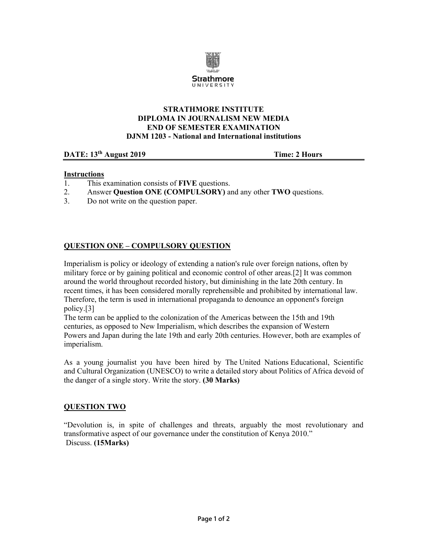

## **STRATHMORE INSTITUTE DIPLOMA IN JOURNALISM NEW MEDIA END OF SEMESTER EXAMINATION DJNM 1203 - National and International institutions**

## **DATE:** 13<sup>th</sup> August 2019 **Time:** 2 Hours

## **Instructions**

- 1. This examination consists of **FIVE** questions.
- 2. Answer **Question ONE (COMPULSORY)** and any other **TWO** questions.
- 3. Do not write on the question paper.

## **QUESTION ONE – COMPULSORY QUESTION**

Imperialism is policy or ideology of extending a nation's rule over foreign nations, often by military force or by gaining political and economic control of other areas.[2] It was common around the world throughout recorded history, but diminishing in the late 20th century. In recent times, it has been considered morally reprehensible and prohibited by international law. Therefore, the term is used in international propaganda to denounce an opponent's foreign policy.[3]

The term can be applied to the colonization of the Americas between the 15th and 19th centuries, as opposed to New Imperialism, which describes the expansion of Western Powers and Japan during the late 19th and early 20th centuries. However, both are examples of imperialism.

As a young journalist you have been hired by The United Nations Educational, Scientific and Cultural Organization (UNESCO) to write a detailed story about Politics of Africa devoid of the danger of a single story. Write the story. **(30 Marks)** 

#### **QUESTION TWO**

"Devolution is, in spite of challenges and threats, arguably the most revolutionary and transformative aspect of our governance under the constitution of Kenya 2010." Discuss. **(15Marks)**